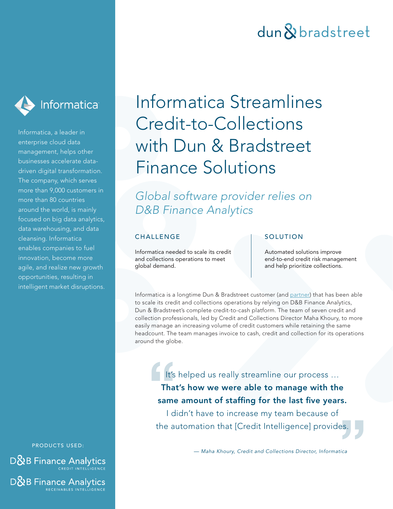### dun & bradstreet



Informatica, a leader in enterprise cloud data management, helps other businesses accelerate datadriven digital transformation. The company, which serves more than 9,000 customers in more than 80 countries around the world, is mainly focused on big data analytics, data warehousing, and data cleansing. Informatica enables companies to fuel innovation, become more agile, and realize new growth opportunities, resulting in intelligent market disruptions.

PRODUCTS USED:

**D&B** Finance Analytics

D&B Finance Analytics RECEIVABLES INTELLIGENCE

# Informatica Streamlines Credit-to-Collections with Dun & Bradstreet Finance Solutions

*Global software provider relies on D&B Finance Analytics*

### **CHALLENGE**

Informatica needed to scale its credit and collections operations to meet global demand.

### **SOLUTION**

Automated solutions improve end-to-end credit risk management and help prioritize collections.

Informatica is a longtime Dun & Bradstreet customer (and [partner\)](https://www.dnb.com/products/master-data/dnb-direct/dnb-direct-for-informatica-mdm.html) that has been able to scale its credit and collections operations by relying on D&B Finance Analytics, Dun & Bradstreet's complete credit-to-cash platform. The team of seven credit and collection professionals, led by Credit and Collections Director Maha Khoury, to more easily manage an increasing volume of credit customers while retaining the same headcount. The team manages invoice to cash, credit and collection for its operations around the globe.

It's helped us really streamline our process … That's how we were able to manage with the same amount of staffing for the last five years. It's<br>Tha<br>same<br>I d

I didn't have to increase my team because of the automation that [Credit Intelligence] provides. **"**  $\left\{ \begin{array}{c} 0 \\ 0 \\ 0 \end{array} \right\}$ 

— *Maha Khoury, Credit and Collections Director, Informatica*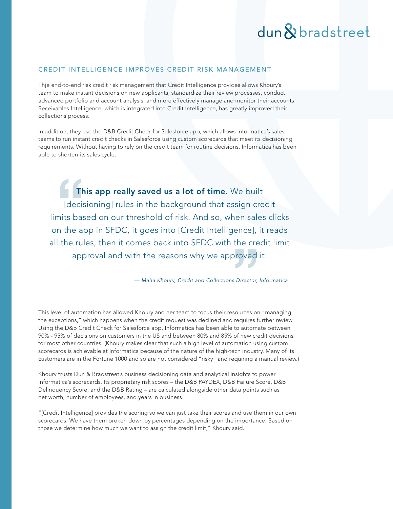### dun & bradstreet

#### CREDIT INTELLIGENCE IMPROVES CREDIT RISK MANAGEMENT

Thje end-to-end risk credit risk management that Credit Intelligence provides allows Khoury's team to make instant decisions on new applicants, standardize their review processes, conduct advanced portfolio and account analysis, and more effectively manage and monitor their accounts. Receivables Intelligence, which is integrated into Credit Intelligence, has greatly improved their collections process.

In addition, they use the D&B Credit Check for Salesforce app, which allows Informatica's sales teams to run instant credit checks in Salesforce using custom scorecards that meet its decisioning requirements. Without having to rely on the credit team for routine decisions, Informatica has been able to shorten its sales cycle.

This app really saved us a lot of time. We built [decisioning] rules in the background that assign credit limits based on our threshold of risk. And so, when sales clicks on the app in SFDC, it goes into [Credit Intelligence], it reads all the rules, then it comes back into SFDC with the credit limit approval and with the reasons why we approved it. **There**<br> **The**<br> **There**<br> **CHEPE**<br> **CHEPE**<br> **CHEPE**<br> **CHEPE**<br> **CHEPE**<br> **CHEPE**<br> **CHEPE**<br> **CHEPE**<br> **CHEPE** ence],<br>:he cre<br>roved

— *Maha Khoury, Credit and Collections Director, Informatica*

This level of automation has allowed Khoury and her team to focus their resources on "managing the exceptions," which happens when the credit request was declined and requires further review. Using the D&B Credit Check for Salesforce app, Informatica has been able to automate between 90% - 95% of decisions on customers in the US and between 80% and 85% of new credit decisions for most other countries. (Khoury makes clear that such a high level of automation using custom scorecards is achievable at Informatica because of the nature of the high-tech industry. Many of its customers are in the Fortune 1000 and so are not considered "risky" and requiring a manual review.)

Khoury trusts Dun & Bradstreet's business decisioning data and analytical insights to power Informatica's scorecards. Its proprietary risk scores – the D&B PAYDEX, D&B Failure Score, D&B Delinquency Score, and the D&B Rating – are calculated alongside other data points such as net worth, number of employees, and years in business.

"[Credit Intelligence] provides the scoring so we can just take their scores and use them in our own scorecards. We have them broken down by percentages depending on the importance. Based on those we determine how much we want to assign the credit limit," Khoury said.